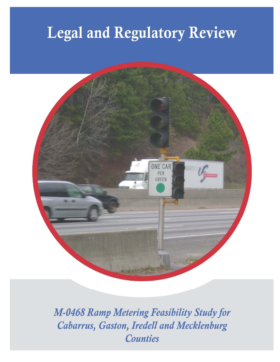# **Legal and Regulatory Review**



M-0468 Ramp Metering Feasibility Study for Cabarrus, Gaston, Iredell and Mecklenburg **Counties**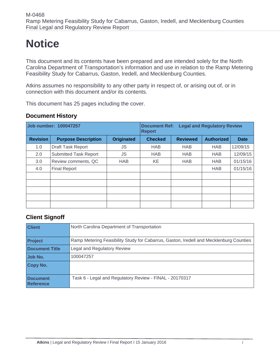## **Notice**

This document and its contents have been prepared and are intended solely for the North Carolina Department of Transportation's information and use in relation to the Ramp Metering Feasibility Study for Cabarrus, Gaston, Iredell, and Mecklenburg Counties.

Atkins assumes no responsibility to any other party in respect of, or arising out of, or in connection with this document and/or its contents.

This document has 25 pages including the cover.

#### **Document History**

| Job number: 100047257 |                              |                   | <b>Legal and Regulatory Review</b><br><b>Document Ref:</b><br><b>Report</b> |                 |                   |             |
|-----------------------|------------------------------|-------------------|-----------------------------------------------------------------------------|-----------------|-------------------|-------------|
| <b>Revision</b>       | <b>Purpose Description</b>   | <b>Originated</b> | <b>Checked</b>                                                              | <b>Reviewed</b> | <b>Authorized</b> | <b>Date</b> |
| 1.0                   | Draft Task Report            | JS                | <b>HAB</b>                                                                  | <b>HAB</b>      | <b>HAB</b>        | 12/09/15    |
| 2.0                   | <b>Submitted Task Report</b> | JS                | <b>HAB</b>                                                                  | <b>HAB</b>      | <b>HAB</b>        | 12/09/15    |
| 3.0                   | Review comments, QC          | <b>HAB</b>        | KE                                                                          | <b>HAB</b>      | <b>HAB</b>        | 01/15/16    |
| 4.0                   | <b>Final Report</b>          |                   |                                                                             |                 | <b>HAB</b>        | 01/15/16    |
|                       |                              |                   |                                                                             |                 |                   |             |
|                       |                              |                   |                                                                             |                 |                   |             |
|                       |                              |                   |                                                                             |                 |                   |             |
|                       |                              |                   |                                                                             |                 |                   |             |
|                       |                              |                   |                                                                             |                 |                   |             |

#### **Client Signoff**

| <b>Client</b>                       | North Carolina Department of Transportation                                            |
|-------------------------------------|----------------------------------------------------------------------------------------|
| <b>Project</b>                      | Ramp Metering Feasibility Study for Cabarrus, Gaston, Iredell and Mecklenburg Counties |
| <b>Document Title</b>               | Legal and Regulatory Review                                                            |
| Job No.                             | 100047257                                                                              |
| Copy No.                            |                                                                                        |
| <b>Document</b><br><b>Reference</b> | Task 6 - Legal and Regulatory Review - FINAL - 20170317                                |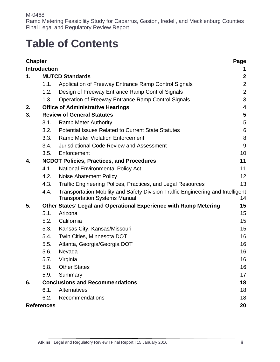## **Table of Contents**

| <b>Chapter</b>    |                                   |                                                                                                                         | Page              |  |
|-------------------|-----------------------------------|-------------------------------------------------------------------------------------------------------------------------|-------------------|--|
|                   | <b>Introduction</b>               |                                                                                                                         | 1                 |  |
| 1.                | $\boldsymbol{2}$                  |                                                                                                                         |                   |  |
|                   | 1.1.                              | Application of Freeway Entrance Ramp Control Signals                                                                    | $\overline{2}$    |  |
|                   | 1.2.                              | Design of Freeway Entrance Ramp Control Signals                                                                         | $\overline{2}$    |  |
|                   | 1.3.                              | <b>Operation of Freeway Entrance Ramp Control Signals</b>                                                               | 3                 |  |
| 2.                |                                   | <b>Office of Administrative Hearings</b>                                                                                | 4                 |  |
| 3.                | <b>Review of General Statutes</b> |                                                                                                                         |                   |  |
|                   | 3.1.                              | <b>Ramp Meter Authority</b>                                                                                             | 5                 |  |
|                   | 3.2.                              | <b>Potential Issues Related to Current State Statutes</b>                                                               | 6                 |  |
|                   | 3.3.                              | <b>Ramp Meter Violation Enforcement</b>                                                                                 | 8                 |  |
|                   | 3.4.                              | <b>Jurisdictional Code Review and Assessment</b>                                                                        | 9                 |  |
|                   | 3.5.                              | Enforcement                                                                                                             | 10                |  |
| 4.                |                                   | <b>NCDOT Policies, Practices, and Procedures</b>                                                                        | 11                |  |
|                   | 4.1.                              | <b>National Environmental Policy Act</b>                                                                                | 11                |  |
|                   | 4.2.                              | Noise Abatement Policy                                                                                                  | $12 \overline{ }$ |  |
|                   | 4.3.                              | <b>Traffic Engineering Polices, Practices, and Legal Resources</b>                                                      | 13                |  |
|                   | 4.4.                              | Transportation Mobility and Safety Division Traffic Engineering and Intelligent<br><b>Transportation Systems Manual</b> | 14                |  |
| 5.                |                                   | Other States' Legal and Operational Experience with Ramp Metering                                                       | 15                |  |
|                   | 5.1.                              | Arizona                                                                                                                 | 15                |  |
|                   | 5.2.                              | California                                                                                                              | 15                |  |
|                   | 5.3.                              | Kansas City, Kansas/Missouri                                                                                            | 15                |  |
|                   | 5.4.                              | Twin Cities, Minnesota DOT                                                                                              | 16                |  |
|                   | 5.5.                              | Atlanta, Georgia/Georgia DOT                                                                                            | 16                |  |
|                   | 5.6.                              | Nevada                                                                                                                  | 16                |  |
|                   | 5.7.                              | Virginia                                                                                                                | 16                |  |
|                   | 5.8.                              | <b>Other States</b>                                                                                                     | 16                |  |
|                   | 5.9.                              | Summary                                                                                                                 | 17                |  |
| 6.                |                                   | <b>Conclusions and Recommendations</b>                                                                                  | 18                |  |
|                   | 6.1.                              | Alternatives                                                                                                            | 18                |  |
|                   | 6.2.                              | Recommendations                                                                                                         | 18                |  |
| <b>References</b> |                                   |                                                                                                                         | 20                |  |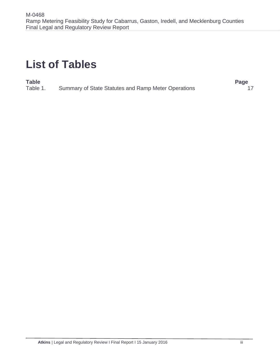## **List of Tables**

#### **Table Page**

Table 1. Summary of State Statutes and Ramp Meter Operations 17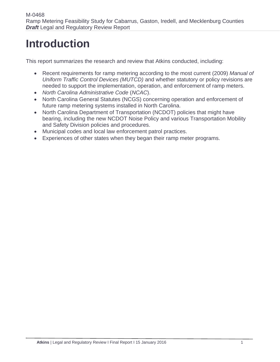## **Introduction**

This report summarizes the research and review that Atkins conducted, including:

- Recent requirements for ramp metering according to the most current (2009) *Manual of Uniform Traffic Control Devices (MUTCD)* and whether statutory or policy revisions are needed to support the implementation, operation, and enforcement of ramp meters.
- *North Carolina Administrative Code* (*NCAC*).
- North Carolina General Statutes (NCGS) concerning operation and enforcement of future ramp metering systems installed in North Carolina.
- North Carolina Department of Transportation (NCDOT) policies that might have bearing, including the new NCDOT Noise Policy and various Transportation Mobility and Safety Division policies and procedures.
- Municipal codes and local law enforcement patrol practices.
- Experiences of other states when they began their ramp meter programs.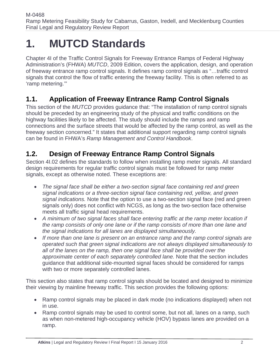## **1. MUTCD Standards**

Chapter 4I of the Traffic Control Signals for Freeway Entrance Ramps of Federal Highway Administration's (FHWA) *MUTCD*, 2009 Edition, covers the application, design, and operation of freeway entrance ramp control signals. It defines ramp control signals as "…traffic control signals that control the flow of traffic entering the freeway facility. This is often referred to as 'ramp metering.'"

## **1.1. Application of Freeway Entrance Ramp Control Signals**

This section of the *MUTCD* provides guidance that: "The installation of ramp control signals should be preceded by an engineering study of the physical and traffic conditions on the highway facilities likely to be affected. The study should include the ramps and ramp connections and the surface streets that would be affected by the ramp control, as well as the freeway section concerned." It states that additional support regarding ramp control signals can be found in FHWA's *Ramp Management and Control Handbook*.

## **1.2. Design of Freeway Entrance Ramp Control Signals**

Section 4I.02 defines the standards to follow when installing ramp meter signals. All standard design requirements for regular traffic control signals must be followed for ramp meter signals, except as otherwise noted. These exceptions are:

- *The signal face shall be either a two-section signal face containing red and green signal indications or a three-section signal face containing red, yellow, and green signal indications.* Note that the option to use a two-section signal face (red and green signals only) does not conflict with NCGS, as long as the two-section face otherwise meets all traffic signal head requirements.
- *A minimum of two signal faces shall face entering traffic at the ramp meter location if the ramp consists of only one lane or if the ramp consists of more than one lane and the signal indications for all lanes are displayed simultaneously.*
- *If more than one lane is present on an entrance ramp and the ramp control signals are operated such that green signal indications are not always displayed simultaneously to all of the lanes on the ramp, then one signal face shall be provided over the approximate center of each separately controlled lane.* Note that the section includes guidance that additional side-mounted signal faces should be considered for ramps with two or more separately controlled lanes.

This section also states that ramp control signals should be located and designed to minimize their viewing by mainline freeway traffic. This section provides the following options:

- Ramp control signals may be placed in dark mode (no indications displayed) when not in use.
- Ramp control signals may be used to control some, but not all, lanes on a ramp, such as when non-metered high-occupancy vehicle (HOV) bypass lanes are provided on a ramp.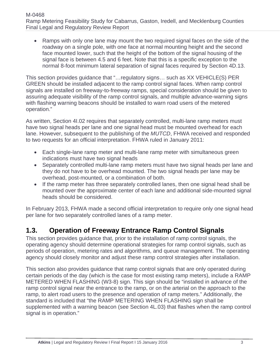Ramps with only one lane may mount the two required signal faces on the side of the roadway on a single pole, with one face at normal mounting height and the second face mounted lower, such that the height of the bottom of the signal housing of the signal face is between 4.5 and 6 feet. Note that this is a specific exception to the normal 8-foot minimum lateral separation of signal faces required by Section 4D.13.

This section provides guidance that "…regulatory signs… such as XX VEHICLE(S) PER GREEN should be installed adjacent to the ramp control signal faces. When ramp control signals are installed on freeway-to-freeway ramps, special consideration should be given to assuring adequate visibility of the ramp control signals, and multiple advance-warning signs with flashing warning beacons should be installed to warn road users of the metered operation."

As written, Section 4I.02 requires that separately controlled, multi-lane ramp meters must have two signal heads per lane and one signal head must be mounted overhead for each lane. However, subsequent to the publishing of the *MUTCD*, FHWA received and responded to two requests for an official interpretation. FHWA ruled in January 2011:

- Each single-lane ramp meter and multi-lane ramp meter with simultaneous green indications must have two signal heads
- Separately controlled multi-lane ramp meters must have two signal heads per lane and they do not have to be overhead mounted. The two signal heads per lane may be overhead, post-mounted, or a combination of both.
- If the ramp meter has three separately controlled lanes, then one signal head shall be mounted over the approximate center of each lane and additional side-mounted signal heads should be considered.

In February 2013, FHWA made a second official interpretation to require only one signal head per lane for two separately controlled lanes of a ramp meter.

## **1.3. Operation of Freeway Entrance Ramp Control Signals**

This section provides guidance that, prior to the installation of ramp control signals, the operating agency should determine operational strategies for ramp control signals, such as periods of operation, metering rates and algorithms, and queue management. The operating agency should closely monitor and adjust these ramp control strategies after installation.

This section also provides guidance that ramp control signals that are only operated during certain periods of the day (which is the case for most existing ramp meters), include a RAMP METERED WHEN FLASHING (W3-8) sign. This sign should be "installed in advance of the ramp control signal near the entrance to the ramp, or on the arterial on the approach to the ramp, to alert road users to the presence and operation of ramp meters." Additionally, the standard is included that "the RAMP METERING WHEN FLASHING sign shall be supplemented with a warning beacon (see Section 4L.03) that flashes when the ramp control signal is in operation."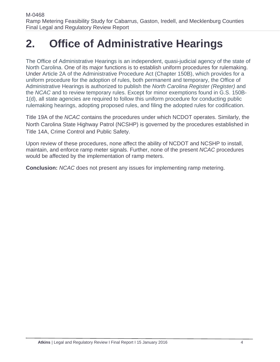## **2. Office of Administrative Hearings**

The Office of Administrative Hearings is an independent, quasi-judicial agency of the state of North Carolina. One of its major functions is to establish uniform procedures for rulemaking. Under Article 2A of the Administrative Procedure Act (Chapter 150B), which provides for a uniform procedure for the adoption of rules, both permanent and temporary, the Office of Administrative Hearings is authorized to publish the *North Carolina Register (Register)* and the *NCAC* and to review temporary rules. Except for minor exemptions found in G.S. 150B-1(d), all state agencies are required to follow this uniform procedure for conducting public rulemaking hearings, adopting proposed rules, and filing the adopted rules for codification.

Title 19A of the *NCAC* contains the procedures under which NCDOT operates. Similarly, the North Carolina State Highway Patrol (NCSHP) is governed by the procedures established in Title 14A, Crime Control and Public Safety.

Upon review of these procedures, none affect the ability of NCDOT and NCSHP to install, maintain, and enforce ramp meter signals. Further, none of the present *NCAC* procedures would be affected by the implementation of ramp meters.

**Conclusion:** *NCAC* does not present any issues for implementing ramp metering.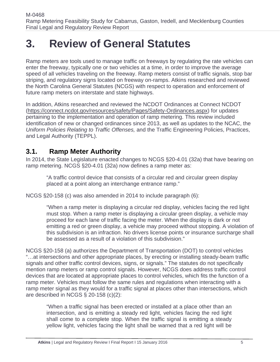## **3. Review of General Statutes**

Ramp meters are tools used to manage traffic on freeways by regulating the rate vehicles can enter the freeway, typically one or two vehicles at a time, in order to improve the average speed of all vehicles traveling on the freeway. Ramp meters consist of traffic signals, stop bar striping, and regulatory signs located on freeway on-ramps. Atkins researched and reviewed the North Carolina General Statutes (NCGS) with respect to operation and enforcement of future ramp meters on interstate and state highways.

In addition, Atkins researched and reviewed the NCDOT Ordinances at Connect NCDOT (https://connect.ncdot.gov/resources/safety/Pages/Safety-Ordinances.aspx) for updates pertaining to the implementation and operation of ramp metering. This review included identification of new or changed ordinances since 2013, as well as updates to the NCAC, the *Uniform Policies Relating to Traffic Offenses,* and the Traffic Engineering Policies, Practices, and Legal Authority (TEPPL).

### **3.1. Ramp Meter Authority**

In 2014, the State Legislature enacted changes to NCGS §20-4.01 (32a) that have bearing on ramp metering. NCGS §20-4.01 (32a) now defines a ramp meter as:

"A traffic control device that consists of a circular red and circular green display placed at a point along an interchange entrance ramp."

NCGS §20-158 (c) was also amended in 2014 to include paragraph (6):

"When a ramp meter is displaying a circular red display, vehicles facing the red light must stop. When a ramp meter is displaying a circular green display, a vehicle may proceed for each lane of traffic facing the meter. When the display is dark or not emitting a red or green display, a vehicle may proceed without stopping. A violation of this subdivision is an infraction. No drivers license points or insurance surcharge shall be assessed as a result of a violation of this subdivision."

NCGS §20-158 (a) authorizes the Department of Transportation (DOT) to control vehicles "…at intersections and other appropriate places, by erecting or installing steady-beam traffic signals and other traffic control devices, signs, or signals." The statutes do not specifically mention ramp meters or ramp control signals. However, NCGS does address traffic control devices that are located at appropriate places to control vehicles, which fits the function of a ramp meter. Vehicles must follow the same rules and regulations when interacting with a ramp meter signal as they would for a traffic signal at places other than intersections, which are described in NCGS § 20-158 (c)(2):

"When a traffic signal has been erected or installed at a place other than an intersection, and is emitting a steady red light, vehicles facing the red light shall come to a complete stop. When the traffic signal is emitting a steady yellow light, vehicles facing the light shall be warned that a red light will be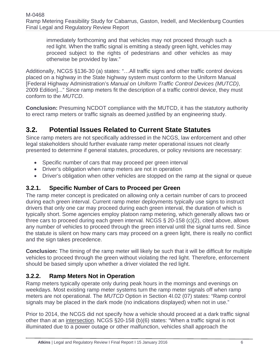immediately forthcoming and that vehicles may not proceed through such a red light. When the traffic signal is emitting a steady green light, vehicles may proceed subject to the rights of pedestrians and other vehicles as may otherwise be provided by law."

Additionally, NCGS §136-30 (a) states: "…All traffic signs and other traffic control devices placed on a highway in the State highway system must conform to the Uniform Manual [Federal Highway Administration's *Manual on Uniform Traffic Control Devices (MUTCD)*, 2009 Edition]..." Since ramp meters fit the description of a traffic control device, they must conform to the *MUTCD*.

**Conclusion:** Presuming NCDOT compliance with the MUTCD, it has the statutory authority to erect ramp meters or traffic signals as deemed justified by an engineering study.

## **3.2. Potential Issues Related to Current State Statutes**

Since ramp meters are not specifically addressed in the NCGS, law enforcement and other legal stakeholders should further evaluate ramp meter operational issues not clearly presented to determine if general statutes, procedures, or policy revisions are necessary:

- Specific number of cars that may proceed per green interval
- Driver's obligation when ramp meters are not in operation
- Driver's obligation when other vehicles are stopped on the ramp at the signal or queue

### **3.2.1. Specific Number of Cars to Proceed per Green**

The ramp meter concept is predicated on allowing only a certain number of cars to proceed during each green interval. Current ramp meter deployments typically use signs to instruct drivers that only one car may proceed during each green interval, the duration of which is typically short. Some agencies employ platoon ramp metering, which generally allows two or three cars to proceed during each green interval. NCGS § 20-158 (c)(2), cited above, allows any number of vehicles to proceed through the green interval until the signal turns red. Since the statute is silent on how many cars may proceed on a green light, there is really no conflict and the sign takes precedence.

**Conclusion:** The timing of the ramp meter will likely be such that it will be difficult for multiple vehicles to proceed through the green without violating the red light. Therefore, enforcement should be based simply upon whether a driver violated the red light.

### **3.2.2. Ramp Meters Not in Operation**

Ramp meters typically operate only during peak hours in the mornings and evenings on weekdays. Most existing ramp meter systems turn the ramp meter signals off when ramp meters are not operational. The *MUTCD* Option in Section 4I.02 (07) states: "Ramp control signals may be placed in the dark mode (no indications displayed) when not in use."

Prior to 2014, the NCGS did not specify how a vehicle should proceed at a dark traffic signal other than at an intersection. NCGS §20-158 (b)(6) states: "When a traffic signal is not illuminated due to a power outage or other malfunction, vehicles shall approach the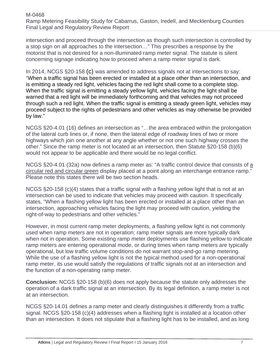intersection and proceed through the intersection as though such intersection is controlled by a stop sign on all approaches to the intersection…" This prescribes a response by the motorist that is not desired for a non-illuminated ramp meter signal. The statute is silent concerning signage indicating how to proceed when a ramp meter signal is dark.

In 2014, NCGS §20-158 (c) was amended to address signals not at intersections to say: "When a traffic signal has been erected or installed at a place other than an intersection, and is emitting a steady red light, vehicles facing the red light shall come to a complete stop. When the traffic signal is emitting a steady yellow light, vehicles facing the light shall be warned that a red light will be immediately forthcoming and that vehicles may not proceed through such a red light. When the traffic signal is emitting a steady green light, vehicles may proceed subject to the rights of pedestrians and other vehicles as may otherwise be provided by law."

NCGS §20-4.01 (16) defines an intersection as "…the area embraced within the prolongation of the lateral curb lines or, if none, then the lateral edge of roadway lines of two or more highways which join one another at any angle whether or not one such highway crosses the other." Since the ramp meter is not located at an intersection, then Statute §20-158 (b)(6) would not appear to be applicable and there would be no legal conflict.

NCGS §20-4.01 (32a) now defines a ramp meter as: "A traffic control device that consists of a circular red and circular green display placed at a point along an interchange entrance ramp." Please note this states there will be two section heads.

NCGS §20-158 (c)(4) states that a traffic signal with a flashing yellow light that is not at an intersection can be used to indicate that vehicles may proceed with caution. It specifically states, "When a flashing yellow light has been erected or installed at a place other than an intersection, approaching vehicles facing the light may proceed with caution, yielding the right-of-way to pedestrians and other vehicles."

However, in most current ramp meter deployments, a flashing yellow light is not commonly used when ramp meters are not in operation; ramp meter signals are more typically dark when not in operation. Some existing ramp meter deployments use flashing yellow to indicate ramp meters are entering operational mode, or during times when ramp meters are typically operational, but low traffic volume conditions do not warrant stop-and-go ramp metering. While the use of a flashing yellow light is not the typical method used for a non-operational ramp meter, its use would satisfy the regulations of traffic signals not at an intersection and the function of a non-operating ramp meter.

**Conclusion:** NCGS §20-158 (b)(6) does not apply because the statute only addresses the operation of a dark traffic signal at an intersection. By its legal definition, a ramp meter is not at an intersection.

NCGS §20-14.01 defines a ramp meter and clearly distinguishes it differently from a traffic signal. NCGS §20-158 (c)(4) addresses when a flashing light is installed at a location other than an intersection. It does not stipulate that a flashing light has to be installed, and as long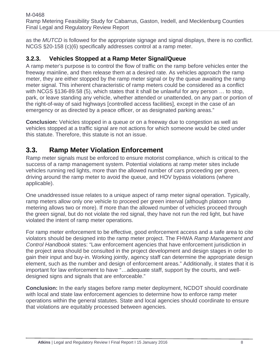as the *MUTCD* is followed for the appropriate signage and signal displays, there is no conflict. NCGS §20-158 (c)(6) specifically addresses control at a ramp meter.

### **3.2.3. Vehicles Stopped at a Ramp Meter Signal/Queue**

A ramp meter's purpose is to control the flow of traffic on the ramp before vehicles enter the freeway mainline, and then release them at a desired rate. As vehicles approach the ramp meter, they are either stopped by the ramp meter signal or by the queue awaiting the ramp meter signal. This inherent characteristic of ramp meters could be considered as a conflict with NCGS §136-89.58 (5), which states that it shall be unlawful for any person … to stop, park, or leave standing any vehicle, whether attended or unattended, on any part or portion of the right-of-way of said highways [controlled access facilities], except in the case of an emergency or as directed by a peace officer, or as designated parking areas."

**Conclusion:** Vehicles stopped in a queue or on a freeway due to congestion as well as vehicles stopped at a traffic signal are not actions for which someone would be cited under this statute. Therefore, this statute is not an issue.

## **3.3. Ramp Meter Violation Enforcement**

Ramp meter signals must be enforced to ensure motorist compliance, which is critical to the success of a ramp management system. Potential violations at ramp meter sites include vehicles running red lights, more than the allowed number of cars proceeding per green, driving around the ramp meter to avoid the queue, and HOV bypass violations (where applicable).

One unaddressed issue relates to a unique aspect of ramp meter signal operation. Typically, ramp meters allow only one vehicle to proceed per green interval (although platoon ramp metering allows two or more). If more than the allowed number of vehicles proceed through the green signal, but do not violate the red signal, they have not run the red light, but have violated the intent of ramp meter operations.

For ramp meter enforcement to be effective, good enforcement access and a safe area to cite violators should be designed into the ramp meter project. The FHWA *Ramp Management and Control Handbook* states: "Law enforcement agencies that have enforcement jurisdiction in the project area should be consulted in the project development and design stages in order to gain their input and buy-in. Working jointly, agency staff can determine the appropriate design element, such as the number and design of enforcement areas." Additionally, it states that it is important for law enforcement to have "…adequate staff, support by the courts, and welldesigned signs and signals that are enforceable."

**Conclusion:** In the early stages before ramp meter deployment, NCDOT should coordinate with local and state law enforcement agencies to determine how to enforce ramp meter operations within the general statutes. State and local agencies should coordinate to ensure that violations are equitably processed between agencies.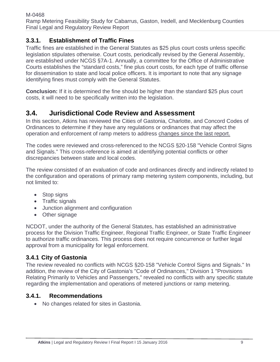### **3.3.1. Establishment of Traffic Fines**

Traffic fines are established in the General Statutes as \$25 plus court costs unless specific legislation stipulates otherwise. Court costs, periodically revised by the General Assembly, are established under NCGS §7A-1. Annually, a committee for the Office of Administrative Courts establishes the "standard costs," fine plus court costs, for each type of traffic offense for dissemination to state and local police officers. It is important to note that any signage identifying fines must comply with the General Statutes.

**Conclusion:** If it is determined the fine should be higher than the standard \$25 plus court costs, it will need to be specifically written into the legislation.

### **3.4. Jurisdictional Code Review and Assessment**

In this section, Atkins has reviewed the Cities of Gastonia, Charlotte, and Concord Codes of Ordinances to determine if they have any regulations or ordinances that may affect the operation and enforcement of ramp meters to address changes since the last report.

The codes were reviewed and cross-referenced to the NCGS §20-158 "Vehicle Control Signs and Signals." This cross-reference is aimed at identifying potential conflicts or other discrepancies between state and local codes.

The review consisted of an evaluation of code and ordinances directly and indirectly related to the configuration and operations of primary ramp metering system components, including, but not limited to:

- Stop signs
- Traffic signals
- Junction alignment and configuration
- Other signage

NCDOT, under the authority of the General Statutes, has established an administrative process for the Division Traffic Engineer, Regional Traffic Engineer, or State Traffic Engineer to authorize traffic ordinances. This process does not require concurrence or further legal approval from a municipality for legal enforcement.

### **3.4.1 City of Gastonia**

The review revealed no conflicts with NCGS §20-158 "Vehicle Control Signs and Signals." In addition, the review of the City of Gastonia's "Code of Ordinances," Division 1 "Provisions Relating Primarily to Vehicles and Passengers," revealed no conflicts with any specific statute regarding the implementation and operations of metered junctions or ramp metering.

#### **3.4.1. Recommendations**

• No changes related for sites in Gastonia.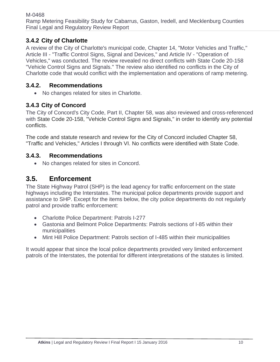### **3.4.2 City of Charlotte**

A review of the City of Charlotte's municipal code, Chapter 14, "Motor Vehicles and Traffic," Article III - "Traffic Control Signs, Signal and Devices," and Article IV - "Operation of Vehicles," was conducted. The review revealed no direct conflicts with State Code 20-158 "Vehicle Control Signs and Signals." The review also identified no conflicts in the City of Charlotte code that would conflict with the implementation and operations of ramp metering.

#### **3.4.2. Recommendations**

• No changes related for sites in Charlotte.

#### **3.4.3 City of Concord**

The City of Concord's City Code, Part II, Chapter 58, was also reviewed and cross-referenced with State Code 20-158, "Vehicle Control Signs and Signals," in order to identify any potential conflicts.

The code and statute research and review for the City of Concord included Chapter 58, "Traffic and Vehicles," Articles I through VI. No conflicts were identified with State Code.

#### **3.4.3. Recommendations**

No changes related for sites in Concord.

### **3.5. Enforcement**

The State Highway Patrol (SHP) is the lead agency for traffic enforcement on the state highways including the Interstates. The municipal police departments provide support and assistance to SHP. Except for the items below, the city police departments do not regularly patrol and provide traffic enforcement:

- Charlotte Police Department: Patrols I-277
- Gastonia and Belmont Police Departments: Patrols sections of I-85 within their municipalities
- Mint Hill Police Department: Patrols section of I-485 within their municipalities

It would appear that since the local police departments provided very limited enforcement patrols of the Interstates, the potential for different interpretations of the statutes is limited.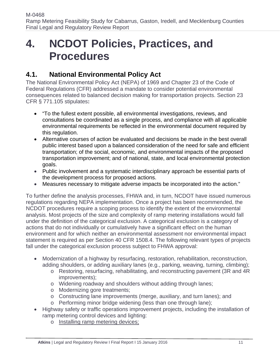## **4. NCDOT Policies, Practices, and Procedures**

## **4.1. National Environmental Policy Act**

The National Environmental Policy Act (NEPA) of 1969 and Chapter 23 of the Code of Federal Regulations (CFR) addressed a mandate to consider potential environmental consequences related to balanced decision making for transportation projects. Section 23 CFR § 771.105 stipulates**:** 

- "To the fullest extent possible, all environmental investigations, reviews, and consultations be coordinated as a single process, and compliance with all applicable environmental requirements be reflected in the environmental document required by this regulation.
- Alternative courses of action be evaluated and decisions be made in the best overall public interest based upon a balanced consideration of the need for safe and efficient transportation; of the social, economic, and environmental impacts of the proposed transportation improvement; and of national, state, and local environmental protection goals.
- Public involvement and a systematic interdisciplinary approach be essential parts of the development process for proposed actions.
- Measures necessary to mitigate adverse impacts be incorporated into the action."

To further define the analysis processes, FHWA and, in turn, NCDOT have issued numerous regulations regarding NEPA implementation. Once a project has been recommended, the NCDOT procedures require a scoping process to identify the extent of the environmental analysis. Most projects of the size and complexity of ramp metering installations would fall under the definition of the categorical exclusion. A categorical exclusion is a category of actions that do not individually or cumulatively have a significant effect on the human environment and for which neither an environmental assessment nor environmental impact statement is required as per Section 40 CFR 1508.4. The following relevant types of projects fall under the categorical exclusion process subject to FHWA approval:

- Modernization of a highway by resurfacing, restoration, rehabilitation, reconstruction, adding shoulders, or adding auxiliary lanes (e.g., parking, weaving, turning, climbing);
	- o Restoring, resurfacing, rehabilitating, and reconstructing pavement (3R and 4R improvements);
	- o Widening roadway and shoulders without adding through lanes;
	- o Modernizing gore treatments;
	- o Constructing lane improvements (merge, auxiliary, and turn lanes); and
	- o Performing minor bridge widening (less than one through lane);
- Highway safety or traffic operations improvement projects, including the installation of ramp metering control devices and lighting:
	- o Installing ramp metering devices;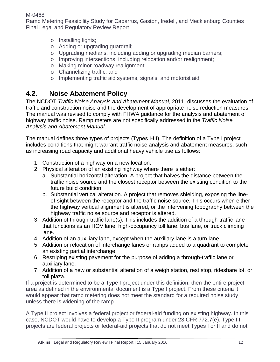- o Installing lights;
- o Adding or upgrading guardrail;
- o Upgrading medians, including adding or upgrading median barriers;
- o Improving intersections, including relocation and/or realignment;
- o Making minor roadway realignment;
- o Channelizing traffic; and
- o Implementing traffic aid systems, signals, and motorist aid.

## **4.2. Noise Abatement Policy**

The NCDOT *Traffic Noise Analysis and Abatement Manual*, 2011, discusses the evaluation of traffic and construction noise and the development of appropriate noise reduction measures. The manual was revised to comply with FHWA guidance for the analysis and abatement of highway traffic noise. Ramp meters are not specifically addressed in the *Traffic Noise Analysis and Abatement Manual*.

The manual defines three types of projects (Types I-III). The definition of a Type I project includes conditions that might warrant traffic noise analysis and abatement measures, such as increasing road capacity and additional heavy vehicle use as follows:

- 1. Construction of a highway on a new location.
- 2. Physical alteration of an existing highway where there is either:
	- a. Substantial horizontal alteration. A project that halves the distance between the traffic noise source and the closest receptor between the existing condition to the future build condition.
	- b. Substantial vertical alteration. A project that removes shielding, exposing the lineof-sight between the receptor and the traffic noise source. This occurs when either the highway vertical alignment is altered, or the intervening topography between the highway traffic noise source and receptor is altered.
- 3. Addition of through-traffic lane(s). This includes the addition of a through-traffic lane that functions as an HOV lane, high-occupancy toll lane, bus lane, or truck climbing lane.
- 4. Addition of an auxiliary lane, except when the auxiliary lane is a turn lane.
- 5. Addition or relocation of interchange lanes or ramps added to a quadrant to complete an existing partial interchange.
- 6. Restriping existing pavement for the purpose of adding a through-traffic lane or auxiliary lane.
- 7. Addition of a new or substantial alteration of a weigh station, rest stop, rideshare lot, or toll plaza.

If a project is determined to be a Type I project under this definition, then the entire project area as defined in the environmental document is a Type I project. From these criteria it would appear that ramp metering does not meet the standard for a required noise study unless there is widening of the ramp.

A Type II project involves a federal project or federal-aid funding on existing highway. In this case, NCDOT would have to develop a Type II program under 23 CFR 772.7(e). Type III projects are federal projects or federal-aid projects that do not meet Types I or II and do not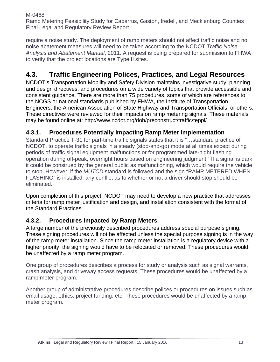require a noise study. The deployment of ramp meters should not affect traffic noise and no noise abatement measures will need to be taken according to the NCDOT *Traffic Noise Analysis and Abatement Manual*, 2011. A request is being prepared for submission to FHWA to verify that the project locations are Type II sites.

## **4.3. Traffic Engineering Polices, Practices, and Legal Resources**

NCDOT's Transportation Mobility and Safety Division maintains investigative study, planning and design directives, and procedures on a wide variety of topics that provide accessible and consistent guidance. There are more than 75 procedures, some of which are references to the NCGS or national standards published by FHWA, the Institute of Transportation Engineers, the American Association of State Highway and Transportation Officials, or others. These directives were reviewed for their impacts on ramp metering signals. These materials may be found online at: http://www.ncdot.org/doh/preconstruct/traffic/teppl/

### **4.3.1. Procedures Potentially Impacting Ramp Meter Implementation**

Standard Practice T-31 for part-time traffic signals states that it is "…standard practice of NCDOT, to operate traffic signals in a steady (stop-and-go) mode at all times except during periods of traffic signal equipment malfunctions or for programmed late-night flashing operation during off-peak, overnight hours based on engineering judgment." If a signal is dark it could be construed by the general public as malfunctioning, which would require the vehicle to stop. However, if the *MUTCD* standard is followed and the sign "RAMP METERED WHEN FLASHING" is installed, any conflict as to whether or not a driver should stop should be eliminated.

Upon completion of this project, NCDOT may need to develop a new practice that addresses criteria for ramp meter justification and design, and installation consistent with the format of the Standard Practices.

### **4.3.2. Procedures Impacted by Ramp Meters**

A large number of the previously described procedures address special purpose signing. These signing procedures will not be affected unless the special purpose signing is in the way of the ramp meter installation. Since the ramp meter installation is a regulatory device with a higher priority, the signing would have to be relocated or removed. These procedures would be unaffected by a ramp meter program.

One group of procedures describes a process for study or analysis such as signal warrants, crash analysis, and driveway access requests. These procedures would be unaffected by a ramp meter program.

Another group of administrative procedures describe polices or procedures on issues such as email usage, ethics, project funding, etc. These procedures would be unaffected by a ramp meter program.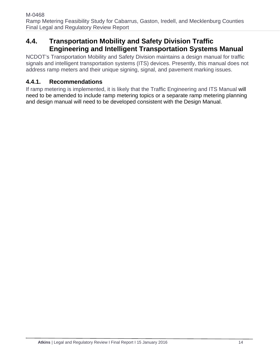### **4.4. Transportation Mobility and Safety Division Traffic Engineering and Intelligent Transportation Systems Manual**

NCDOT's Transportation Mobility and Safety Division maintains a design manual for traffic signals and intelligent transportation systems (ITS) devices. Presently, this manual does not address ramp meters and their unique signing, signal, and pavement marking issues.

### **4.4.1. Recommendations**

If ramp metering is implemented, it is likely that the Traffic Engineering and ITS Manual will need to be amended to include ramp metering topics or a separate ramp metering planning and design manual will need to be developed consistent with the Design Manual.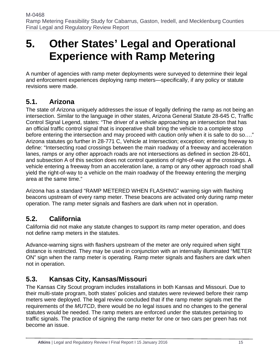## **5. Other States' Legal and Operational Experience with Ramp Metering**

A number of agencies with ramp meter deployments were surveyed to determine their legal and enforcement experiences deploying ramp meters—specifically, if any policy or statute revisions were made.

### **5.1. Arizona**

The state of Arizona uniquely addresses the issue of legally defining the ramp as not being an intersection. Similar to the language in other states, Arizona General Statute 28-645 C, Traffic Control Signal Legend, states: "The driver of a vehicle approaching an intersection that has an official traffic control signal that is inoperative shall bring the vehicle to a complete stop before entering the intersection and may proceed with caution only when it is safe to do so…." Arizona statutes go further in 28-771 C, Vehicle at Intersection; exception; entering freeway to define: "Intersecting road crossings between the main roadway of a freeway and acceleration lanes, ramps or any other approach roads are not intersections as defined in section 28-601, and subsection A of this section does not control questions of right-of-way at the crossings. A vehicle entering a freeway from an acceleration lane, a ramp or any other approach road shall yield the right-of-way to a vehicle on the main roadway of the freeway entering the merging area at the same time."

Arizona has a standard "RAMP METERED WHEN FLASHING" warning sign with flashing beacons upstream of every ramp meter. These beacons are activated only during ramp meter operation. The ramp meter signals and flashers are dark when not in operation.

## **5.2. California**

California did not make any statute changes to support its ramp meter operation, and does not define ramp meters in the statutes.

Advance-warning signs with flashers upstream of the meter are only required when sight distance is restricted. They may be used in conjunction with an internally illuminated "METER ON" sign when the ramp meter is operating. Ramp meter signals and flashers are dark when not in operation.

## **5.3. Kansas City, Kansas/Missouri**

The Kansas City Scout program includes installations in both Kansas and Missouri. Due to their multi-state program, both states' policies and statutes were reviewed before their ramp meters were deployed. The legal review concluded that if the ramp meter signals met the requirements of the *MUTCD*, there would be no legal issues and no changes to the general statutes would be needed. The ramp meters are enforced under the statutes pertaining to traffic signals. The practice of signing the ramp meter for one or two cars per green has not become an issue.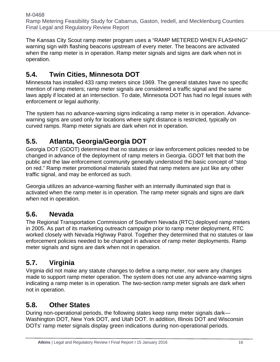The Kansas City Scout ramp meter program uses a "RAMP METERED WHEN FLASHING" warning sign with flashing beacons upstream of every meter. The beacons are activated when the ramp meter is in operation. Ramp meter signals and signs are dark when not in operation.

## **5.4. Twin Cities, Minnesota DOT**

Minnesota has installed 433 ramp meters since 1969. The general statutes have no specific mention of ramp meters; ramp meter signals are considered a traffic signal and the same laws apply if located at an intersection. To date, Minnesota DOT has had no legal issues with enforcement or legal authority.

The system has no advance-warning signs indicating a ramp meter is in operation. Advancewarning signs are used only for locations where sight distance is restricted, typically on curved ramps. Ramp meter signals are dark when not in operation.

## **5.5. Atlanta, Georgia/Georgia DOT**

Georgia DOT (GDOT) determined that no statutes or law enforcement policies needed to be changed in advance of the deployment of ramp meters in Georgia. GDOT felt that both the public and the law enforcement community generally understood the basic concept of "stop on red." Ramp meter promotional materials stated that ramp meters are just like any other traffic signal, and may be enforced as such.

Georgia utilizes an advance-warning flasher with an internally illuminated sign that is activated when the ramp meter is in operation. The ramp meter signals and signs are dark when not in operation.

## **5.6. Nevada**

The Regional Transportation Commission of Southern Nevada (RTC) deployed ramp meters in 2005. As part of its marketing outreach campaign prior to ramp meter deployment, RTC worked closely with Nevada Highway Patrol. Together they determined that no statutes or law enforcement policies needed to be changed in advance of ramp meter deployments. Ramp meter signals and signs are dark when not in operation.

## **5.7. Virginia**

Virginia did not make any statute changes to define a ramp meter, nor were any changes made to support ramp meter operation. The system does not use any advance-warning signs indicating a ramp meter is in operation. The two-section ramp meter signals are dark when not in operation.

## **5.8. Other States**

During non-operational periods, the following states keep ramp meter signals dark— Washington DOT, New York DOT, and Utah DOT. In addition, Illinois DOT and Wisconsin DOTs' ramp meter signals display green indications during non-operational periods.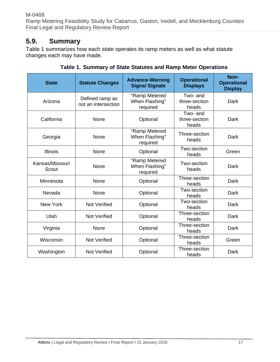### **5.9. Summary**

Table 1 summarizes how each state operates its ramp meters as well as what statute changes each may have made.

| <b>State</b>             | <b>Statute Changes</b>                 | <b>Advance-Warning</b><br><b>Signs/ Signals</b> | <b>Operational</b><br><b>Displays</b> | Non-<br><b>Operational</b><br><b>Display</b> |
|--------------------------|----------------------------------------|-------------------------------------------------|---------------------------------------|----------------------------------------------|
| Arizona                  | Defined ramp as<br>not an intersection | "Ramp Metered<br>When Flashing"<br>required     | Two- and<br>three-section<br>heads    | Dark                                         |
| California               | None                                   | Optional                                        | Two- and<br>three-section<br>heads    | Dark                                         |
| Georgia                  | None                                   | "Ramp Metered<br>When Flashing"<br>required     | Three-section<br>heads                | <b>Dark</b>                                  |
| <b>Illinois</b>          | None                                   | Optional                                        | Two-section<br>heads                  | Green                                        |
| Kansas/Missouri<br>Scout | None                                   | "Ramp Metered<br>When Flashing"<br>required     | Two-section<br>heads                  | Dark                                         |
| Minnesota                | None                                   | Optional                                        | Three-section<br>heads                | Dark                                         |
| Nevada                   | None                                   | Optional                                        | Two-section<br>heads                  | Dark                                         |
| New York                 | <b>Not Verified</b>                    | Optional                                        | Two-section<br>heads                  | Dark                                         |
| Utah                     | <b>Not Verified</b>                    | Optional                                        | Three-section<br>heads                | Dark                                         |
| Virginia                 | None                                   | Optional                                        | Three-section<br>heads                | Dark                                         |
| Wisconsin                | <b>Not Verified</b>                    | Optional                                        | Three-section<br>heads                | Green                                        |
| Washington               | <b>Not Verified</b>                    | Optional                                        | Three-section<br>heads                | Dark                                         |

**Table 1. Summary of State Statutes and Ramp Meter Operations**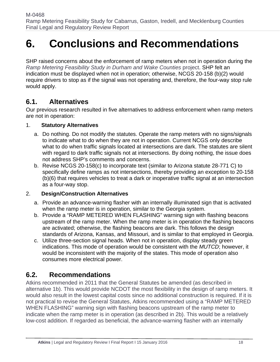## **6. Conclusions and Recommendations**

SHP raised concerns about the enforcement of ramp meters when not in operation during the *Ramp Metering Feasibility Study in Durham and Wake Counties* project. SHP felt an indication must be displayed when not in operation; otherwise, NCGS 20-158 (b)(2) would require drivers to stop as if the signal was not operating and, therefore, the four-way stop rule would apply.

### **6.1. Alternatives**

Our previous research resulted in five alternatives to address enforcement when ramp meters are not in operation:

#### 1. **Statutory Alternatives**

- a. Do nothing. Do not modify the statutes. Operate the ramp meters with no signs/signals to indicate what to do when they are not in operation. Current NCGS only describe what to do when traffic signals located at intersections are dark. The statutes are silent with regard to dark traffic signals not at intersections. By doing nothing, the issue does not address SHP's comments and concerns.
- b. Revise NCGS 20-158(c) to incorporate text (similar to Arizona statute 28-771 C) to specifically define ramps as not intersections, thereby providing an exception to 20-158 (b)(6) that requires vehicles to treat a dark or inoperative traffic signal at an intersection as a four-way stop.

#### 2. **Design/Construction Alternatives**

- a. Provide an advance-warning flasher with an internally illuminated sign that is activated when the ramp meter is in operation, similar to the Georgia system.
- b. Provide a "RAMP METERED WHEN FLASHING" warning sign with flashing beacons upstream of the ramp meter. When the ramp meter is in operation the flashing beacons are activated; otherwise, the flashing beacons are dark. This follows the design standards of Arizona, Kansas, and Missouri, and is similar to that employed in Georgia.
- c. Utilize three-section signal heads. When not in operation, display steady green indications. This mode of operation would be consistent with the *MUTCD*; however, it would be inconsistent with the majority of the states. This mode of operation also consumes more electrical power.

## **6.2. Recommendations**

Atkins recommended in 2011 that the General Statutes be amended (as described in alternative 1b). This would provide NCDOT the most flexibility in the design of ramp meters. It would also result in the lowest capital costs since no additional construction is required. If it is not practical to revise the General Statutes, Atkins recommended using a "RAMP METERED WHEN FLASHING" warning sign with flashing beacons upstream of the ramp meter to indicate when the ramp meter is in operation (as described in 2b). This would be a relatively low-cost addition. If regarded as beneficial, the advance-warning flasher with an internally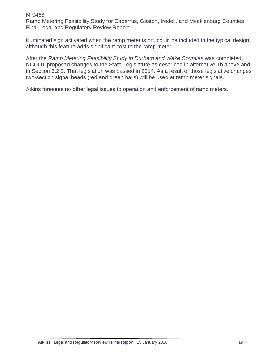illuminated sign activated when the ramp meter is on, could be included in the typical design, although this feature adds significant cost to the ramp meter.

After the *Ramp Metering Feasibility Study in Durham and Wake Counties* was completed, NCDOT proposed changes to the State Legislature as described in alternative 1b above and in Section 3.2.2. That legislation was passed in 2014. As a result of those legislative changes two-section signal heads (red and green balls) will be used at ramp meter signals.

Atkins foresees no other legal issues to operation and enforcement of ramp meters.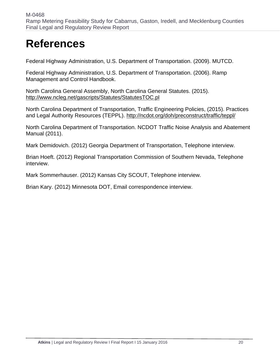## **References**

Federal Highway Administration, U.S. Department of Transportation. (2009). MUTCD.

Federal Highway Administration, U.S. Department of Transportation. (2006). Ramp Management and Control Handbook.

North Carolina General Assembly, North Carolina General Statutes. (2015). http://www.ncleg.net/gascripts/Statutes/StatutesTOC.pl

North Carolina Department of Transportation, Traffic Engineering Policies, (2015). Practices and Legal Authority Resources (TEPPL). http://ncdot.org/doh/preconstruct/traffic/teppl/

North Carolina Department of Transportation. NCDOT Traffic Noise Analysis and Abatement Manual (2011).

Mark Demidovich. (2012) Georgia Department of Transportation, Telephone interview.

Brian Hoeft. (2012) Regional Transportation Commission of Southern Nevada, Telephone interview.

Mark Sommerhauser. (2012) Kansas City SCOUT, Telephone interview.

Brian Kary. (2012) Minnesota DOT, Email correspondence interview.